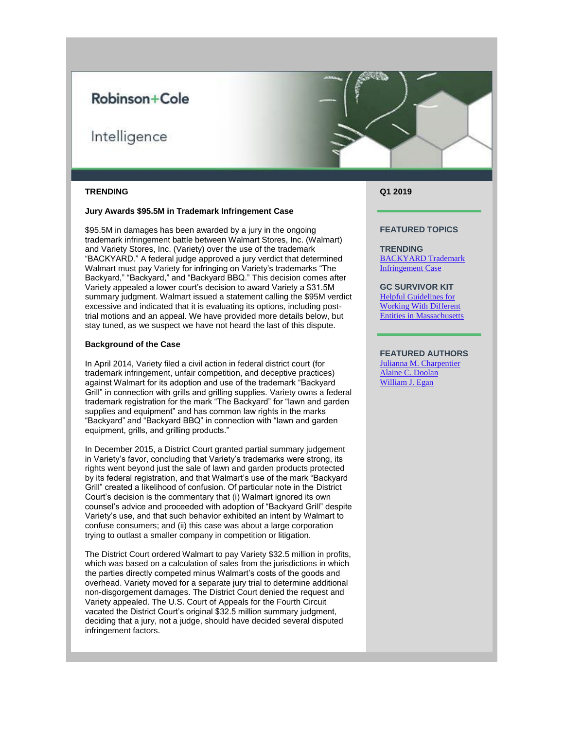## Robinson+Cole

# Intelligence



#### **TRENDING**

## **Jury Awards \$95.5M in Trademark Infringement Case**

\$95.5M in damages has been awarded by a jury in the ongoing trademark infringement battle between Walmart Stores, Inc. (Walmart) and Variety Stores, Inc. (Variety) over the use of the trademark "BACKYARD." A federal judge approved a jury verdict that determined Walmart must pay Variety for infringing on Variety's trademarks "The Backyard," "Backyard," and "Backyard BBQ." This decision comes after Variety appealed a lower court's decision to award Variety a \$31.5M summary judgment. Walmart issued a statement calling the \$95M verdict excessive and indicated that it is evaluating its options, including posttrial motions and an appeal. We have provided more details below, but stay tuned, as we suspect we have not heard the last of this dispute.

## **Background of the Case**

In April 2014, Variety filed a civil action in federal district court (for trademark infringement, unfair competition, and deceptive practices) against Walmart for its adoption and use of the trademark "Backyard Grill" in connection with grills and grilling supplies. Variety owns a federal trademark registration for the mark "The Backyard" for "lawn and garden supplies and equipment" and has common law rights in the marks "Backyard" and "Backyard BBQ" in connection with "lawn and garden equipment, grills, and grilling products."

In December 2015, a District Court granted partial summary judgement in Variety's favor, concluding that Variety's trademarks were strong, its rights went beyond just the sale of lawn and garden products protected by its federal registration, and that Walmart's use of the mark "Backyard Grill" created a likelihood of confusion. Of particular note in the District Court's decision is the commentary that (i) Walmart ignored its own counsel's advice and proceeded with adoption of "Backyard Grill" despite Variety's use, and that such behavior exhibited an intent by Walmart to confuse consumers; and (ii) this case was about a large corporation trying to outlast a smaller company in competition or litigation.

The District Court ordered Walmart to pay Variety \$32.5 million in profits, which was based on a calculation of sales from the jurisdictions in which the parties directly competed minus Walmart's costs of the goods and overhead. Variety moved for a separate jury trial to determine additional non-disgorgement damages. The District Court denied the request and Variety appealed. The U.S. Court of Appeals for the Fourth Circuit vacated the District Court's original \$32.5 million summary judgment, deciding that a jury, not a judge, should have decided several disputed infringement factors.

**Q1 2019**

## **FEATURED TOPICS**

**TRENDING** [BACKYARD Trademark](https://protect-us.mimecast.com/s/2Eg2CwpxNlHGQAnrTqYi9H?domain=r20.rs6.net)  [Infringement Case](https://protect-us.mimecast.com/s/2Eg2CwpxNlHGQAnrTqYi9H?domain=r20.rs6.net)

**GC SURVIVOR KIT** [Helpful Guidelines for](https://protect-us.mimecast.com/s/C2yrCxky0mC109jNcYRkW7?domain=r20.rs6.net)  [Working With Different](https://protect-us.mimecast.com/s/C2yrCxky0mC109jNcYRkW7?domain=r20.rs6.net)  [Entities in Massachusetts](https://protect-us.mimecast.com/s/C2yrCxky0mC109jNcYRkW7?domain=r20.rs6.net)

## **FEATURED AUTHORS**

[Julianna M. Charpentier](https://protect-us.mimecast.com/s/fUI5CyPz4ntrW03VcRcAkh?domain=r20.rs6.net) [Alaine C. Doolan](https://protect-us.mimecast.com/s/Thl9CzpA8oHMBxzVhoeTqL?domain=r20.rs6.net) [William J. Egan](https://protect-us.mimecast.com/s/eQ20CADrLxfNon5qtMnhYe?domain=r20.rs6.net)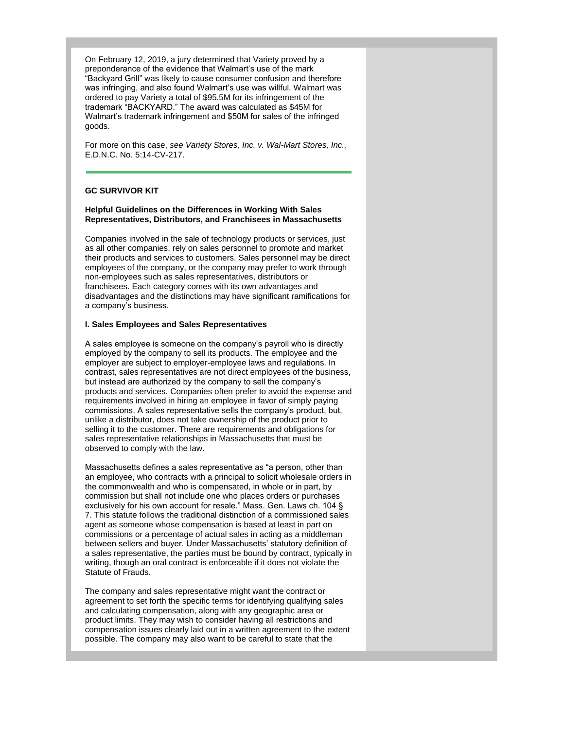On February 12, 2019, a jury determined that Variety proved by a preponderance of the evidence that Walmart's use of the mark "Backyard Grill" was likely to cause consumer confusion and therefore was infringing, and also found Walmart's use was willful. Walmart was ordered to pay Variety a total of \$95.5M for its infringement of the trademark "BACKYARD." The award was calculated as \$45M for Walmart's trademark infringement and \$50M for sales of the infringed goods.

For more on this case, *see Variety Stores, Inc. v. Wal-Mart Stores, Inc.,* E.D.N.C. No. 5:14-CV-217.

## **GC SURVIVOR KIT**

## **Helpful Guidelines on the Differences in Working With Sales Representatives, Distributors, and Franchisees in Massachusetts**

Companies involved in the sale of technology products or services, just as all other companies, rely on sales personnel to promote and market their products and services to customers. Sales personnel may be direct employees of the company, or the company may prefer to work through non-employees such as sales representatives, distributors or franchisees. Each category comes with its own advantages and disadvantages and the distinctions may have significant ramifications for a company's business.

## **I. Sales Employees and Sales Representatives**

A sales employee is someone on the company's payroll who is directly employed by the company to sell its products. The employee and the employer are subject to employer-employee laws and regulations. In contrast, sales representatives are not direct employees of the business, but instead are authorized by the company to sell the company's products and services. Companies often prefer to avoid the expense and requirements involved in hiring an employee in favor of simply paying commissions. A sales representative sells the company's product, but, unlike a distributor, does not take ownership of the product prior to selling it to the customer. There are requirements and obligations for sales representative relationships in Massachusetts that must be observed to comply with the law.

Massachusetts defines a sales representative as "a person, other than an employee, who contracts with a principal to solicit wholesale orders in the commonwealth and who is compensated, in whole or in part, by commission but shall not include one who places orders or purchases exclusively for his own account for resale." Mass. Gen. Laws ch. 104 § 7. This statute follows the traditional distinction of a commissioned sales agent as someone whose compensation is based at least in part on commissions or a percentage of actual sales in acting as a middleman between sellers and buyer. Under Massachusetts' statutory definition of a sales representative, the parties must be bound by contract, typically in writing, though an oral contract is enforceable if it does not violate the Statute of Frauds.

The company and sales representative might want the contract or agreement to set forth the specific terms for identifying qualifying sales and calculating compensation, along with any geographic area or product limits. They may wish to consider having all restrictions and compensation issues clearly laid out in a written agreement to the extent possible. The company may also want to be careful to state that the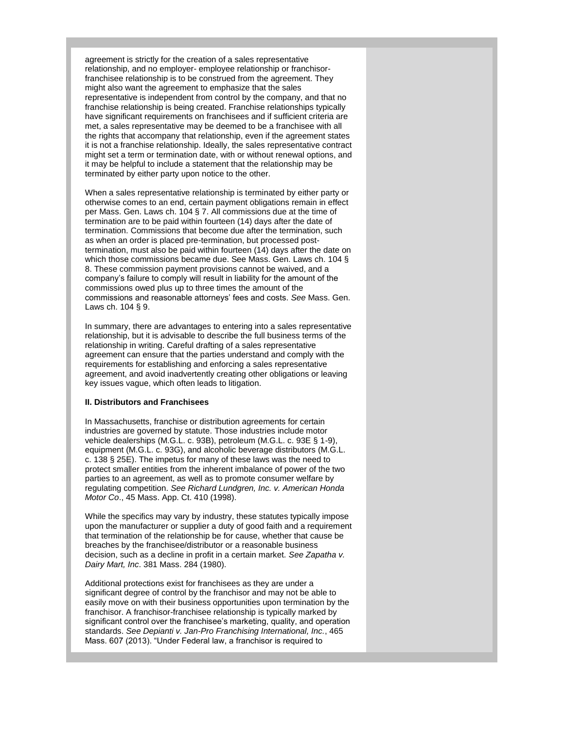agreement is strictly for the creation of a sales representative relationship, and no employer- employee relationship or franchisorfranchisee relationship is to be construed from the agreement. They might also want the agreement to emphasize that the sales representative is independent from control by the company, and that no franchise relationship is being created. Franchise relationships typically have significant requirements on franchisees and if sufficient criteria are met, a sales representative may be deemed to be a franchisee with all the rights that accompany that relationship, even if the agreement states it is not a franchise relationship. Ideally, the sales representative contract might set a term or termination date, with or without renewal options, and it may be helpful to include a statement that the relationship may be terminated by either party upon notice to the other.

When a sales representative relationship is terminated by either party or otherwise comes to an end, certain payment obligations remain in effect per Mass. Gen. Laws ch. 104 § 7. All commissions due at the time of termination are to be paid within fourteen (14) days after the date of termination. Commissions that become due after the termination, such as when an order is placed pre-termination, but processed posttermination, must also be paid within fourteen (14) days after the date on which those commissions became due. See Mass. Gen. Laws ch. 104 § 8. These commission payment provisions cannot be waived, and a company's failure to comply will result in liability for the amount of the commissions owed plus up to three times the amount of the commissions and reasonable attorneys' fees and costs. *See* Mass. Gen. Laws ch. 104 § 9.

In summary, there are advantages to entering into a sales representative relationship, but it is advisable to describe the full business terms of the relationship in writing. Careful drafting of a sales representative agreement can ensure that the parties understand and comply with the requirements for establishing and enforcing a sales representative agreement, and avoid inadvertently creating other obligations or leaving key issues vague, which often leads to litigation.

#### **II. Distributors and Franchisees**

In Massachusetts, franchise or distribution agreements for certain industries are governed by statute. Those industries include motor vehicle dealerships (M.G.L. c. 93B), petroleum (M.G.L. c. 93E § 1-9), equipment (M.G.L. c. 93G), and alcoholic beverage distributors (M.G.L. c. 138 § 25E). The impetus for many of these laws was the need to protect smaller entities from the inherent imbalance of power of the two parties to an agreement, as well as to promote consumer welfare by regulating competition. *See Richard Lundgren, Inc. v. American Honda Motor Co*., 45 Mass. App. Ct. 410 (1998).

While the specifics may vary by industry, these statutes typically impose upon the manufacturer or supplier a duty of good faith and a requirement that termination of the relationship be for cause, whether that cause be breaches by the franchisee/distributor or a reasonable business decision, such as a decline in profit in a certain market. *See Zapatha v. Dairy Mart, Inc*. 381 Mass. 284 (1980).

Additional protections exist for franchisees as they are under a significant degree of control by the franchisor and may not be able to easily move on with their business opportunities upon termination by the franchisor. A franchisor-franchisee relationship is typically marked by significant control over the franchisee's marketing, quality, and operation standards. *See Depianti v. Jan-Pro Franchising International, Inc.*, 465 Mass. 607 (2013). "Under Federal law, a franchisor is required to